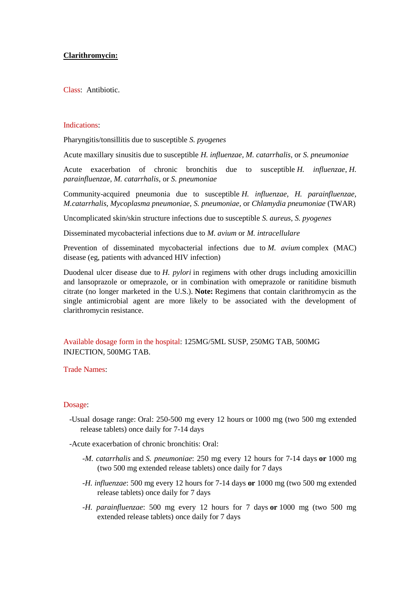## **Clarithromycin:**

Class: Antibiotic.

## Indications:

Pharyngitis/tonsillitis due to susceptible *S. pyogenes*

Acute maxillary sinusitis due to susceptible *H. influenzae, M. catarrhalis,* or *S. pneumoniae*

Acute exacerbation of chronic bronchitis due to susceptible *H. influenzae*, *H. parainfluenzae*, *M. catarrhalis*, or *S. pneumoniae*

Community-acquired pneumonia due to susceptible *H. influenzae, H. parainfluenzae, M.catarrhalis, Mycoplasma pneumoniae, S. pneumoniae,* or *Chlamydia pneumoniae* (TWAR)

Uncomplicated skin/skin structure infections due to susceptible *S. aureus*, *S. pyogenes*

Disseminated mycobacterial infections due to *M. avium* or *M. intracellulare*

Prevention of disseminated mycobacterial infections due to *M. avium* complex (MAC) disease (eg, patients with advanced HIV infection)

Duodenal ulcer disease due to *H. pylori* in regimens with other drugs including amoxicillin and lansoprazole or omeprazole, or in combination with omeprazole or ranitidine bismuth citrate (no longer marketed in the U.S.). **Note:** Regimens that contain clarithromycin as the single antimicrobial agent are more likely to be associated with the development of clarithromycin resistance.

Available dosage form in the hospital: 125MG/5ML SUSP, 250MG TAB, 500MG INJECTION, 500MG TAB.

## Trade Names:

## Dosage:

 -Usual dosage range: Oral: 250-500 mg every 12 hours or 1000 mg (two 500 mg extended release tablets) once daily for 7-14 days

-Acute exacerbation of chronic bronchitis: Oral:

- *-M. catarrhalis* and *S. pneumoniae*: 250 mg every 12 hours for 7-14 days **or** 1000 mg (two 500 mg extended release tablets) once daily for 7 days
- *-H. influenzae*: 500 mg every 12 hours for 7-14 days **or** 1000 mg (two 500 mg extended release tablets) once daily for 7 days
- *-H. parainfluenzae*: 500 mg every 12 hours for 7 days **or** 1000 mg (two 500 mg extended release tablets) once daily for 7 days